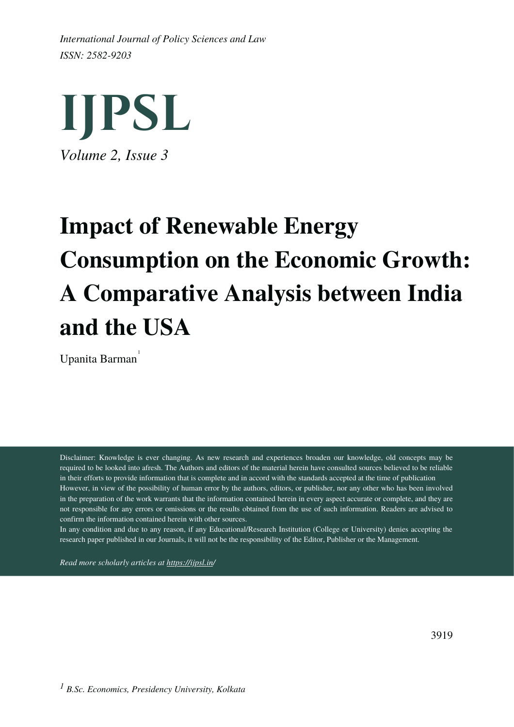*ISSN: 2582-9203 International Journal of Policy Sciences and Law*



# **Impact of Renewable Energy Consumption on the Economic Growth: A Comparative Analysis between India and the USA**

Upanita Barman 1

Disclaimer: Knowledge is ever changing. As new research and experiences broaden our knowledge, old concepts may be required to be looked into afresh. The Authors and editors of the material herein have consulted sources believed to be reliable in their efforts to provide information that is complete and in accord with the standards accepted at the time of publication However, in view of the possibility of human error by the authors, editors, or publisher, nor any other who has been involved in the preparation of the work warrants that the information contained herein in every aspect accurate or complete, and they are not responsible for any errors or omissions or the results obtained from the use of such information. Readers are advised to confirm the information contained herein with other sources.

In any condition and due to any reason, if any Educational/Research Institution (College or University) denies accepting the research paper published in our Journals, it will not be the responsibility of the Editor, Publisher or the Management.

*Read more scholarly articles at <https://ijpsl.in/>*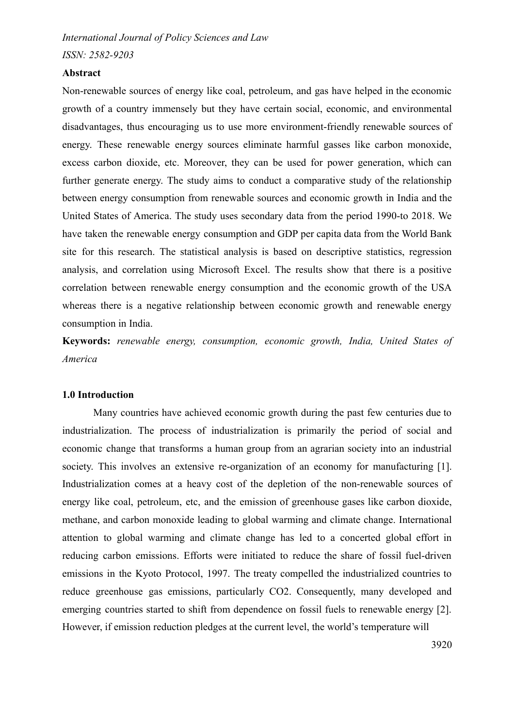*ISSN: 2582-9203*

## **Abstract**

Non-renewable sources of energy like coal, petroleum, and gas have helped in the economic growth of a country immensely but they have certain social, economic, and environmental disadvantages, thus encouraging us to use more environment-friendly renewable sources of energy. These renewable energy sources eliminate harmful gasses like carbon monoxide, excess carbon dioxide, etc. Moreover, they can be used for power generation, which can further generate energy. The study aims to conduct a comparative study of the relationship between energy consumption from renewable sources and economic growth in India and the United States of America. The study uses secondary data from the period 1990-to 2018. We have taken the renewable energy consumption and GDP per capita data from the World Bank site for this research. The statistical analysis is based on descriptive statistics, regression analysis, and correlation using Microsoft Excel. The results show that there is a positive correlation between renewable energy consumption and the economic growth of the USA whereas there is a negative relationship between economic growth and renewable energy consumption in India.

**Keywords:** *renewable energy, consumption, economic growth, India, United States of America*

## **1.0 Introduction**

Many countries have achieved economic growth during the past few centuries due to industrialization. The process of industrialization is primarily the period of social and economic change that transforms a human group from an agrarian society into an industrial society. This involves an extensive re-organization of an economy for manufacturing [1]. Industrialization comes at a heavy cost of the depletion of the non-renewable sources of energy like coal, petroleum, etc, and the emission of greenhouse gases like carbon dioxide, methane, and carbon monoxide leading to global warming and climate change. International attention to global warming and climate change has led to a concerted global effort in reducing carbon emissions. Efforts were initiated to reduce the share of fossil fuel-driven emissions in the Kyoto Protocol, 1997. The treaty compelled the industrialized countries to reduce greenhouse gas emissions, particularly CO2. Consequently, many developed and emerging countries started to shift from dependence on fossil fuels to renewable energy [2]. However, if emission reduction pledges at the current level, the world's temperature will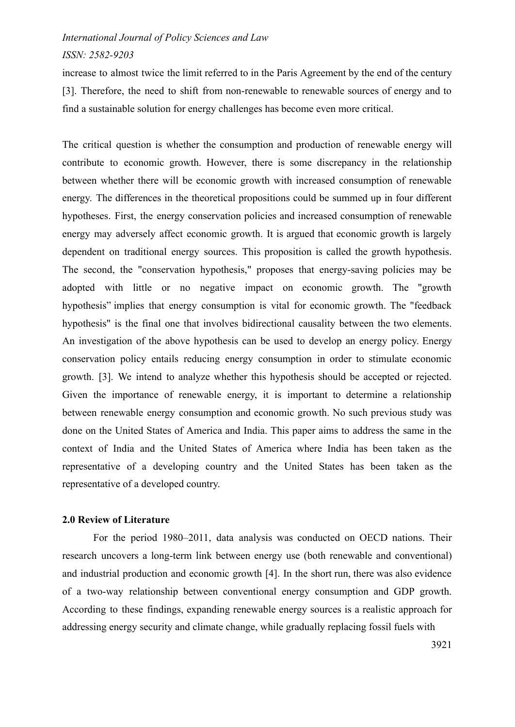*ISSN: 2582-9203*

increase to almost twice the limit referred to in the Paris Agreement by the end of the century [3]. Therefore, the need to shift from non-renewable to renewable sources of energy and to find a sustainable solution for energy challenges has become even more critical.

The critical question is whether the consumption and production of renewable energy will contribute to economic growth. However, there is some discrepancy in the relationship between whether there will be economic growth with increased consumption of renewable energy. The differences in the theoretical propositions could be summed up in four different hypotheses. First, the energy conservation policies and increased consumption of renewable energy may adversely affect economic growth. It is argued that economic growth is largely dependent on traditional energy sources. This proposition is called the growth hypothesis. The second, the "conservation hypothesis," proposes that energy-saving policies may be adopted with little or no negative impact on economic growth. The "growth hypothesis" implies that energy consumption is vital for economic growth. The "feedback hypothesis" is the final one that involves bidirectional causality between the two elements. An investigation of the above hypothesis can be used to develop an energy policy. Energy conservation policy entails reducing energy consumption in order to stimulate economic growth. [3]. We intend to analyze whether this hypothesis should be accepted or rejected. Given the importance of renewable energy, it is important to determine a relationship between renewable energy consumption and economic growth. No such previous study was done on the United States of America and India. This paper aims to address the same in the context of India and the United States of America where India has been taken as the representative of a developing country and the United States has been taken as the representative of a developed country.

## **2.0 Review of Literature**

For the period 1980–2011, data analysis was conducted on OECD nations. Their research uncovers a long-term link between energy use (both renewable and conventional) and industrial production and economic growth [4]. In the short run, there was also evidence of a two-way relationship between conventional energy consumption and GDP growth. According to these findings, expanding renewable energy sources is a realistic approach for addressing energy security and climate change, while gradually replacing fossil fuels with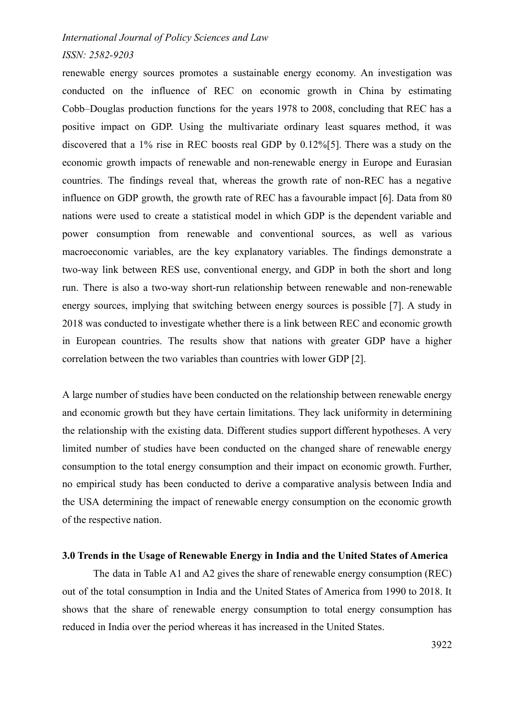## *ISSN: 2582-9203*

renewable energy sources promotes a sustainable energy economy. An investigation was conducted on the influence of REC on economic growth in China by estimating Cobb–Douglas production functions for the years 1978 to 2008, concluding that REC has a positive impact on GDP. Using the multivariate ordinary least squares method, it was discovered that a 1% rise in REC boosts real GDP by 0.12%[5]. There was a study on the economic growth impacts of renewable and non-renewable energy in Europe and Eurasian countries. The findings reveal that, whereas the growth rate of non-REC has a negative influence on GDP growth, the growth rate of REC has a favourable impact [6]. Data from 80 nations were used to create a statistical model in which GDP is the dependent variable and power consumption from renewable and conventional sources, as well as various macroeconomic variables, are the key explanatory variables. The findings demonstrate a two-way link between RES use, conventional energy, and GDP in both the short and long run. There is also a two-way short-run relationship between renewable and non-renewable energy sources, implying that switching between energy sources is possible [7]. A study in 2018 was conducted to investigate whether there is a link between REC and economic growth in European countries. The results show that nations with greater GDP have a higher correlation between the two variables than countries with lower GDP [2].

A large number of studies have been conducted on the relationship between renewable energy and economic growth but they have certain limitations. They lack uniformity in determining the relationship with the existing data. Different studies support different hypotheses. A very limited number of studies have been conducted on the changed share of renewable energy consumption to the total energy consumption and their impact on economic growth. Further, no empirical study has been conducted to derive a comparative analysis between India and the USA determining the impact of renewable energy consumption on the economic growth of the respective nation.

## **3.0 Trends in the Usage of Renewable Energy in India and the United States of America**

The data in Table A1 and A2 gives the share of renewable energy consumption (REC) out of the total consumption in India and the United States of America from 1990 to 2018. It shows that the share of renewable energy consumption to total energy consumption has reduced in India over the period whereas it has increased in the United States.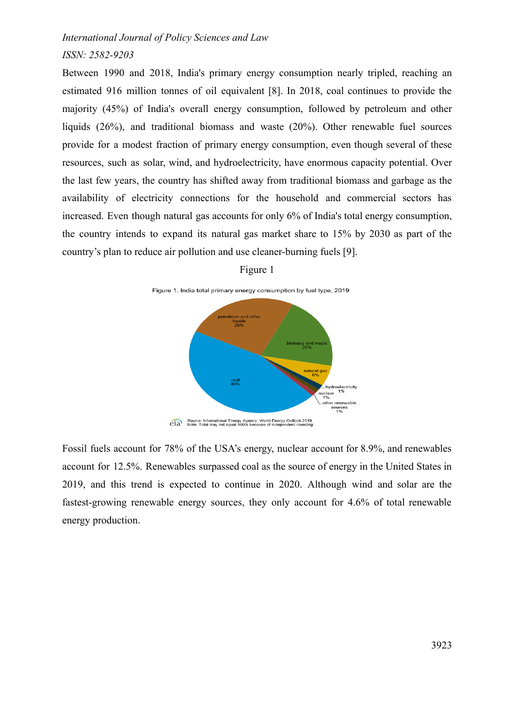## *ISSN: 2582-9203*

Between 1990 and 2018, India's primary energy consumption nearly tripled, reaching an estimated 916 million tonnes of oil equivalent [8]. In 2018, coal continues to provide the majority (45%) of India's overall energy consumption, followed by petroleum and other liquids (26%), and traditional biomass and waste (20%). Other renewable fuel sources provide for a modest fraction of primary energy consumption, even though several of these resources, such as solar, wind, and hydroelectricity, have enormous capacity potential. Over the last few years, the country has shifted away from traditional biomass and garbage as the availability of electricity connections for the household and commercial sectors has increased. Even though natural gas accounts for only 6% of India's total energy consumption, the country intends to expand its natural gas market share to 15% by 2030 as part of the country's plan to reduce air pollution and use cleaner-burning fuels [9].



Figure 1

Fossil fuels account for 78% of the USA's energy, nuclear account for 8.9%, and renewables account for 12.5%. Renewables surpassed coal as the source of energy in the United States in 2019, and this trend is expected to continue in 2020. Although wind and solar are the fastest-growing renewable energy sources, they only account for 4.6% of total renewable energy production.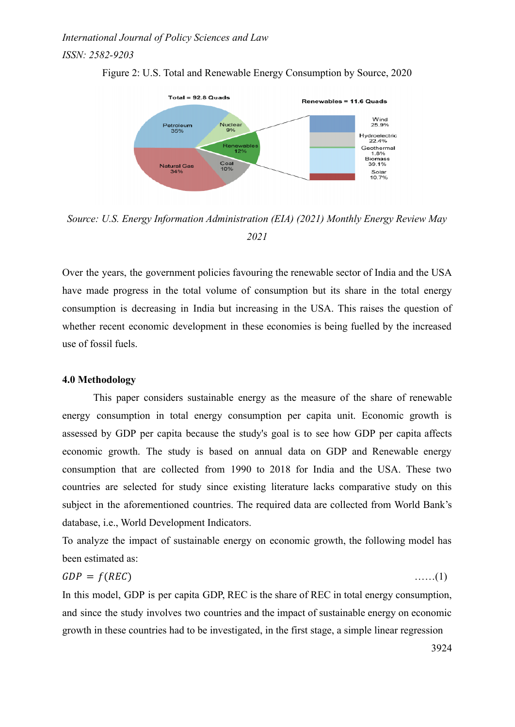*ISSN: 2582-9203*





*Source: U.S. Energy Information Administration (EIA) (2021) Monthly Energy Review May 2021*

Over the years, the government policies favouring the renewable sector of India and the USA have made progress in the total volume of consumption but its share in the total energy consumption is decreasing in India but increasing in the USA. This raises the question of whether recent economic development in these economies is being fuelled by the increased use of fossil fuels.

## **4.0 Methodology**

This paper considers sustainable energy as the measure of the share of renewable energy consumption in total energy consumption per capita unit. Economic growth is assessed by GDP per capita because the study's goal is to see how GDP per capita affects economic growth. The study is based on annual data on GDP and Renewable energy consumption that are collected from 1990 to 2018 for India and the USA. These two countries are selected for study since existing literature lacks comparative study on this subject in the aforementioned countries. The required data are collected from World Bank's database, i.e., World Development Indicators.

To analyze the impact of sustainable energy on economic growth, the following model has been estimated as:

$$
GDP = f(REC) \tag{1}
$$

In this model, GDP is per capita GDP, REC is the share of REC in total energy consumption, and since the study involves two countries and the impact of sustainable energy on economic growth in these countries had to be investigated, in the first stage, a simple linear regression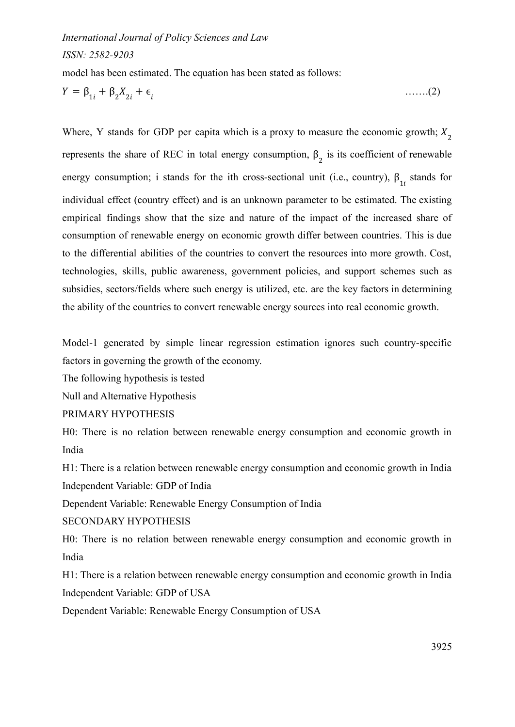## *ISSN: 2582-9203*

model has been estimated. The equation has been stated as follows:

$$
Y = \beta_{1i} + \beta_2 X_{2i} + \epsilon_i \tag{2}
$$

Where, Y stands for GDP per capita which is a proxy to measure the economic growth;  $X_2$ represents the share of REC in total energy consumption,  $\beta_2$  is its coefficient of renewable energy consumption; i stands for the ith cross-sectional unit (i.e., country),  $\beta_{1i}$  stands for individual effect (country effect) and is an unknown parameter to be estimated. The existing empirical findings show that the size and nature of the impact of the increased share of consumption of renewable energy on economic growth differ between countries. This is due to the differential abilities of the countries to convert the resources into more growth. Cost, technologies, skills, public awareness, government policies, and support schemes such as subsidies, sectors/fields where such energy is utilized, etc. are the key factors in determining the ability of the countries to convert renewable energy sources into real economic growth.

Model-1 generated by simple linear regression estimation ignores such country-specific factors in governing the growth of the economy.

The following hypothesis is tested

Null and Alternative Hypothesis

## PRIMARY HYPOTHESIS

H0: There is no relation between renewable energy consumption and economic growth in India

H1: There is a relation between renewable energy consumption and economic growth in India Independent Variable: GDP of India

Dependent Variable: Renewable Energy Consumption of India

SECONDARY HYPOTHESIS

H0: There is no relation between renewable energy consumption and economic growth in India

H1: There is a relation between renewable energy consumption and economic growth in India Independent Variable: GDP of USA

Dependent Variable: Renewable Energy Consumption of USA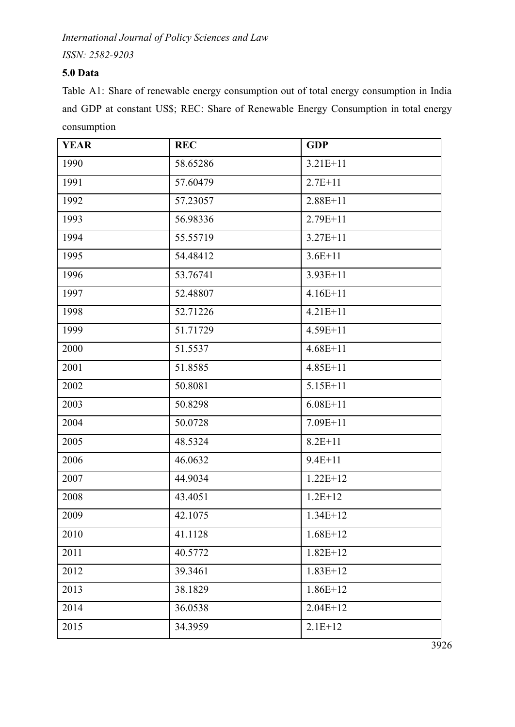*International Journal of Policy Sciences and Law*

*ISSN: 2582-9203*

# **5.0 Data**

Table A1: Share of renewable energy consumption out of total energy consumption in India and GDP at constant US\$; REC: Share of Renewable Energy Consumption in total energy consumption

| <b>YEAR</b> | <b>REC</b> | <b>GDP</b>   |
|-------------|------------|--------------|
| 1990        | 58.65286   | $3.21E+11$   |
| 1991        | 57.60479   | $2.7E+11$    |
| 1992        | 57.23057   | $2.88E + 11$ |
| 1993        | 56.98336   | $2.79E+11$   |
| 1994        | 55.55719   | $3.27E + 11$ |
| 1995        | 54.48412   | $3.6E+11$    |
| 1996        | 53.76741   | $3.93E+11$   |
| 1997        | 52.48807   | $4.16E+11$   |
| 1998        | 52.71226   | $4.21E+11$   |
| 1999        | 51.71729   | 4.59E+11     |
| 2000        | 51.5537    | $4.68E + 11$ |
| 2001        | 51.8585    | $4.85E+11$   |
| 2002        | 50.8081    | $5.15E+11$   |
| 2003        | 50.8298    | $6.08E+11$   |
| 2004        | 50.0728    | $7.09E + 11$ |
| 2005        | 48.5324    | $8.2E + 11$  |
| 2006        | 46.0632    | $9.4E + 11$  |
| 2007        | 44.9034    | $1.22E+12$   |
| 2008        | 43.4051    | $1.2E+12$    |
| 2009        | 42.1075    | $1.34E+12$   |
| 2010        | 41.1128    | $1.68E+12$   |
| 2011        | 40.5772    | $1.82E+12$   |
| 2012        | 39.3461    | $1.83E+12$   |
| 2013        | 38.1829    | $1.86E+12$   |
| 2014        | 36.0538    | $2.04E+12$   |
| 2015        | 34.3959    | $2.1E+12$    |

 $\frac{1}{3926}$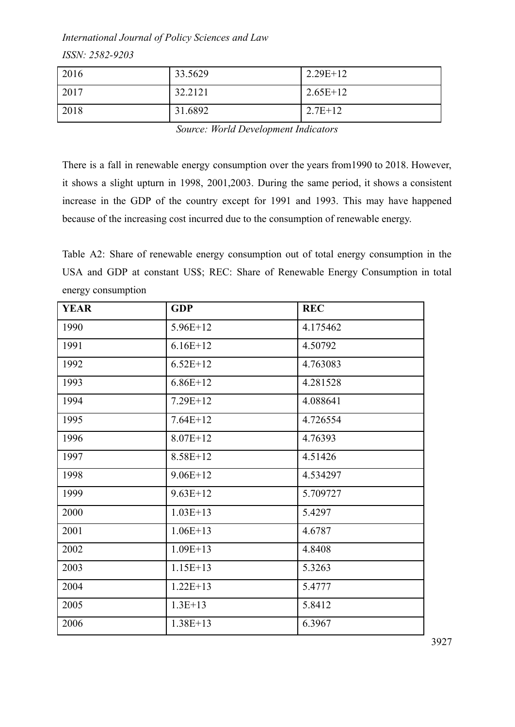*ISSN: 2582-9203*

| 2016 | 33.5629 | $2.29E+12$ |
|------|---------|------------|
| 2017 | 32.2121 | $2.65E+12$ |
| 2018 | 31.6892 | $2.7E+12$  |

*Source: World Development Indicators*

There is a fall in renewable energy consumption over the years from1990 to 2018. However, it shows a slight upturn in 1998, 2001,2003. During the same period, it shows a consistent increase in the GDP of the country except for 1991 and 1993. This may have happened because of the increasing cost incurred due to the consumption of renewable energy.

Table A2: Share of renewable energy consumption out of total energy consumption in the USA and GDP at constant US\$; REC: Share of Renewable Energy Consumption in total energy consumption

| <b>YEAR</b> | <b>GDP</b>   | <b>REC</b> |
|-------------|--------------|------------|
| 1990        | $5.96E+12$   | 4.175462   |
| 1991        | $6.16E+12$   | 4.50792    |
| 1992        | $6.52E+12$   | 4.763083   |
| 1993        | $6.86E+12$   | 4.281528   |
| 1994        | $7.29E+12$   | 4.088641   |
| 1995        | $7.64E+12$   | 4.726554   |
| 1996        | $8.07E + 12$ | 4.76393    |
| 1997        | $8.58E+12$   | 4.51426    |
| 1998        | $9.06E + 12$ | 4.534297   |
| 1999        | $9.63E+12$   | 5.709727   |
| 2000        | $1.03E+13$   | 5.4297     |
| 2001        | $1.06E+13$   | 4.6787     |
| 2002        | $1.09E+13$   | 4.8408     |
| 2003        | $1.15E+13$   | 5.3263     |
| 2004        | $1.22E+13$   | 5.4777     |
| 2005        | $1.3E+13$    | 5.8412     |
| 2006        | $1.38E+13$   | 6.3967     |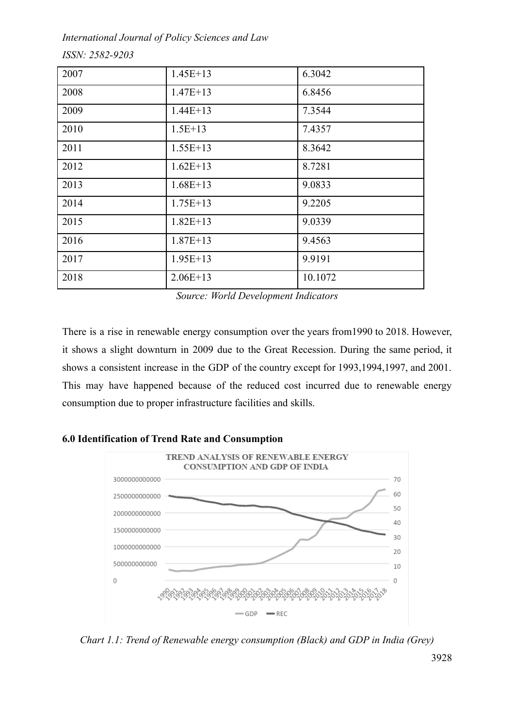*International Journal of Policy Sciences and Law*

| 2007 | $1.45E+13$ | 6.3042  |
|------|------------|---------|
| 2008 | $1.47E+13$ | 6.8456  |
| 2009 | $1.44E+13$ | 7.3544  |
| 2010 | $1.5E+13$  | 7.4357  |
| 2011 | $1.55E+13$ | 8.3642  |
| 2012 | $1.62E+13$ | 8.7281  |
| 2013 | $1.68E+13$ | 9.0833  |
| 2014 | $1.75E+13$ | 9.2205  |
| 2015 | $1.82E+13$ | 9.0339  |
| 2016 | $1.87E+13$ | 9.4563  |
| 2017 | $1.95E+13$ | 9.9191  |
| 2018 | $2.06E+13$ | 10.1072 |

*Source: World Development Indicators*

There is a rise in renewable energy consumption over the years from1990 to 2018. However, it shows a slight downturn in 2009 due to the Great Recession. During the same period, it shows a consistent increase in the GDP of the country except for 1993,1994,1997, and 2001. This may have happened because of the reduced cost incurred due to renewable energy consumption due to proper infrastructure facilities and skills.

## **6.0 Identification of Trend Rate and Consumption**



*Chart 1.1: Trend of Renewable energy consumption (Black) and GDP in India (Grey)*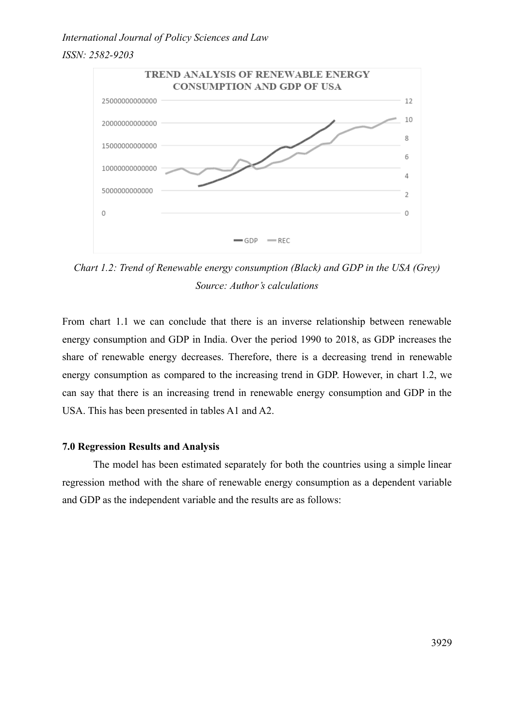## *ISSN: 2582-9203*



*Chart 1.2: Trend of Renewable energy consumption (Black) and GDP in the USA (Grey) Source: Author's calculations*

From chart 1.1 we can conclude that there is an inverse relationship between renewable energy consumption and GDP in India. Over the period 1990 to 2018, as GDP increases the share of renewable energy decreases. Therefore, there is a decreasing trend in renewable energy consumption as compared to the increasing trend in GDP. However, in chart 1.2, we can say that there is an increasing trend in renewable energy consumption and GDP in the USA. This has been presented in tables A1 and A2.

## **7.0 Regression Results and Analysis**

The model has been estimated separately for both the countries using a simple linear regression method with the share of renewable energy consumption as a dependent variable and GDP as the independent variable and the results are as follows: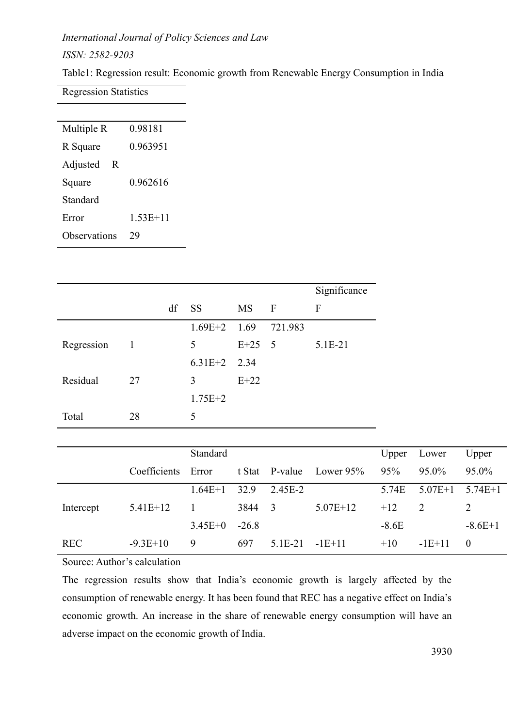*ISSN: 2582-9203*

Table1: Regression result: Economic growth from Renewable Energy Consumption in India

Regression Statistics

| Multiple R    | 0.98181  |
|---------------|----------|
| R Square      | 0.963951 |
| Adjusted<br>R |          |
| Square        | 0.962616 |
| Standard      |          |
| Error         | 1.53E+11 |
| Observations  |          |

|            |              |    |                |           |              | Significance |
|------------|--------------|----|----------------|-----------|--------------|--------------|
|            |              | df | <b>SS</b>      | <b>MS</b> | $\mathbf{F}$ | F            |
|            |              |    | $1.69E+2$ 1.69 |           | 721.983      |              |
| Regression | $\mathbf{1}$ |    | 5              | $E+25$ 5  |              | 5.1E-21      |
|            |              |    | $6.31E+2$ 2.34 |           |              |              |
| Residual   | 27           |    | 3              | $E+22$    |              |              |
|            |              |    | $1.75E + 2$    |           |              |              |
| Total      | 28           |    | 5              |           |              |              |

|            |              | Standard  |         |                |            | Upper   | Lower         | Upper     |
|------------|--------------|-----------|---------|----------------|------------|---------|---------------|-----------|
|            | Coefficients | Error     |         | t Stat P-value | Lower 95%  | 95%     | 95.0%         | 95.0%     |
|            |              | $1.64E+1$ | 32.9    | 2.45E-2        |            | 5.74E   | $5.07E+1$     | $5.74E+1$ |
| Intercept  | $5.41E+12$   |           | 3844    | -3             | $5.07E+12$ | $+12$   | $\mathcal{L}$ |           |
|            |              | $3.45E+0$ | $-26.8$ |                |            | $-8.6E$ |               | $-8.6E+1$ |
| <b>REC</b> | $-9.3E+10$   | 9         | 697     | 5 1 E - 2 1    | $-1E+11$   | $+10$   | $-1E+11$      | $\theta$  |

Source: Author's calculation

The regression results show that India's economic growth is largely affected by the consumption of renewable energy. It has been found that REC has a negative effect on India's economic growth. An increase in the share of renewable energy consumption will have an adverse impact on the economic growth of India.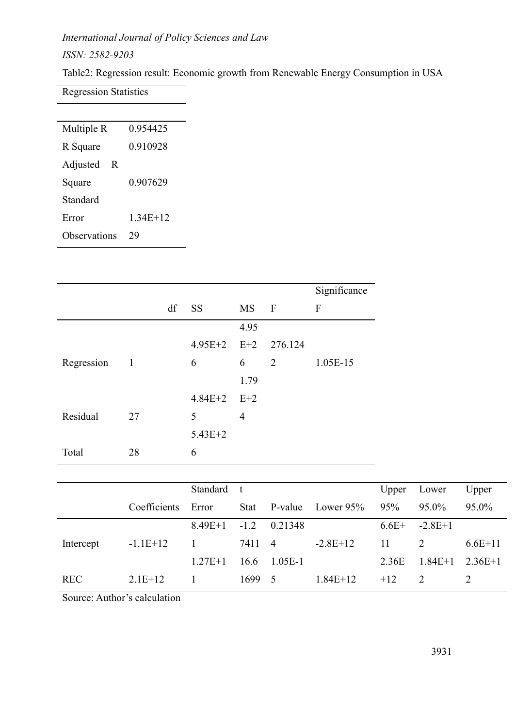*ISSN: 2582-9203*

Table2: Regression result: Economic growth from Renewable Energy Consumption in USA

Regression Statistics

| Multiple R    | 0.954425   |  |
|---------------|------------|--|
| R Square      | 0.910928   |  |
| Adjusted<br>R |            |  |
| Square        | 0.907629   |  |
| Standard      |            |  |
| Error         | $1.34E+12$ |  |
| Observations  | 79         |  |
|               |            |  |

|            |                            |    |                 |                | Significance |                |
|------------|----------------------------|----|-----------------|----------------|--------------|----------------|
|            |                            | df | <b>SS</b>       | MS             | $\mathbf{F}$ | $\overline{F}$ |
|            |                            |    |                 | 4.95           |              |                |
|            |                            |    | $4.95E+2$ $E+2$ |                | 276.124      |                |
| Regression | $\overline{\phantom{0}}$ 1 |    | 6               | 6              | 2            | 1.05E-15       |
|            |                            |    |                 | 1.79           |              |                |
|            |                            |    | $4.84E+2$ $E+2$ |                |              |                |
| Residual   | 27                         |    | 5               | $\overline{4}$ |              |                |
|            |                            |    | $5.43E + 2$     |                |              |                |
| Total      | 28                         |    | 6               |                |              |                |

|            |              | Standard t |        |                |            | Upper   | Lower     | Upper     |
|------------|--------------|------------|--------|----------------|------------|---------|-----------|-----------|
|            | Coefficients | Error      | Stat   | P-value        | Lower 95%  | 95%     | 95.0%     | 95.0%     |
|            |              | $8.49E+1$  | $-1.2$ | 0.21348        |            | $6.6E+$ | $-2.8E+1$ |           |
| Intercept  | $-1.1E+12$   |            | 7411   | $\overline{4}$ | $-2.8E+12$ | 11      | 2         | $6.6E+11$ |
|            |              | $1.27E+1$  | 16.6   | 1 05E-1        |            | 2.36E   | $1.84E+1$ | $236E+1$  |
| <b>REC</b> | $2.1E+12$    |            | 1699   | - 5            | $1.84E+12$ | $+12$   | 2         |           |

Source: Author's calculation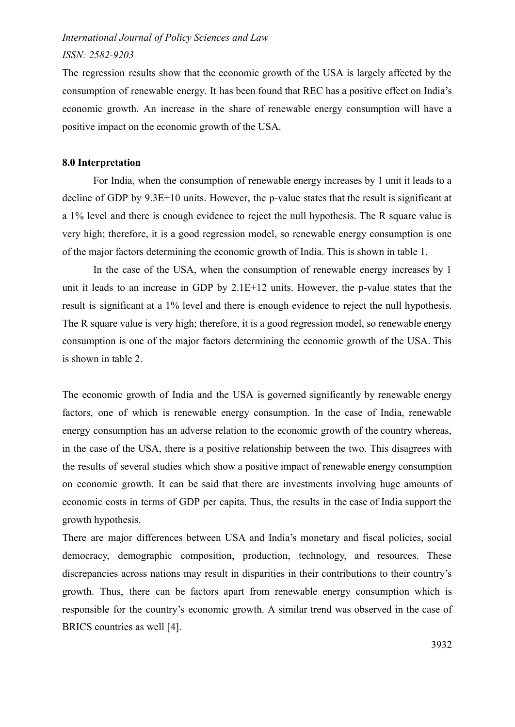## *ISSN: 2582-9203*

The regression results show that the economic growth of the USA is largely affected by the consumption of renewable energy. It has been found that REC has a positive effect on India's economic growth. An increase in the share of renewable energy consumption will have a positive impact on the economic growth of the USA.

## **8.0 Interpretation**

For India, when the consumption of renewable energy increases by 1 unit it leads to a decline of GDP by 9.3E+10 units. However, the p-value states that the result is significant at a 1% level and there is enough evidence to reject the null hypothesis. The R square value is very high; therefore, it is a good regression model, so renewable energy consumption is one of the major factors determining the economic growth of India. This is shown in table 1.

In the case of the USA, when the consumption of renewable energy increases by 1 unit it leads to an increase in GDP by 2.1E+12 units. However, the p-value states that the result is significant at a 1% level and there is enough evidence to reject the null hypothesis. The R square value is very high; therefore, it is a good regression model, so renewable energy consumption is one of the major factors determining the economic growth of the USA. This is shown in table 2.

The economic growth of India and the USA is governed significantly by renewable energy factors, one of which is renewable energy consumption. In the case of India, renewable energy consumption has an adverse relation to the economic growth of the country whereas, in the case of the USA, there is a positive relationship between the two. This disagrees with the results of several studies which show a positive impact of renewable energy consumption on economic growth. It can be said that there are investments involving huge amounts of economic costs in terms of GDP per capita. Thus, the results in the case of India support the growth hypothesis.

There are major differences between USA and India's monetary and fiscal policies, social democracy, demographic composition, production, technology, and resources. These discrepancies across nations may result in disparities in their contributions to their country's growth. Thus, there can be factors apart from renewable energy consumption which is responsible for the country's economic growth. A similar trend was observed in the case of BRICS countries as well [4].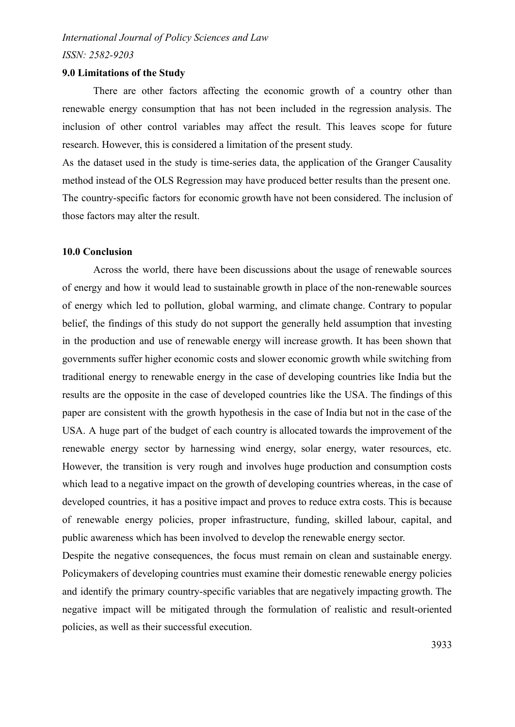*ISSN: 2582-9203*

## **9.0 Limitations of the Study**

There are other factors affecting the economic growth of a country other than renewable energy consumption that has not been included in the regression analysis. The inclusion of other control variables may affect the result. This leaves scope for future research. However, this is considered a limitation of the present study.

As the dataset used in the study is time-series data, the application of the Granger Causality method instead of the OLS Regression may have produced better results than the present one. The country-specific factors for economic growth have not been considered. The inclusion of those factors may alter the result.

## **10.0 Conclusion**

Across the world, there have been discussions about the usage of renewable sources of energy and how it would lead to sustainable growth in place of the non-renewable sources of energy which led to pollution, global warming, and climate change. Contrary to popular belief, the findings of this study do not support the generally held assumption that investing in the production and use of renewable energy will increase growth. It has been shown that governments suffer higher economic costs and slower economic growth while switching from traditional energy to renewable energy in the case of developing countries like India but the results are the opposite in the case of developed countries like the USA. The findings of this paper are consistent with the growth hypothesis in the case of India but not in the case of the USA. A huge part of the budget of each country is allocated towards the improvement of the renewable energy sector by harnessing wind energy, solar energy, water resources, etc. However, the transition is very rough and involves huge production and consumption costs which lead to a negative impact on the growth of developing countries whereas, in the case of developed countries, it has a positive impact and proves to reduce extra costs. This is because of renewable energy policies, proper infrastructure, funding, skilled labour, capital, and public awareness which has been involved to develop the renewable energy sector.

Despite the negative consequences, the focus must remain on clean and sustainable energy. Policymakers of developing countries must examine their domestic renewable energy policies and identify the primary country-specific variables that are negatively impacting growth. The negative impact will be mitigated through the formulation of realistic and result-oriented policies, as well as their successful execution.